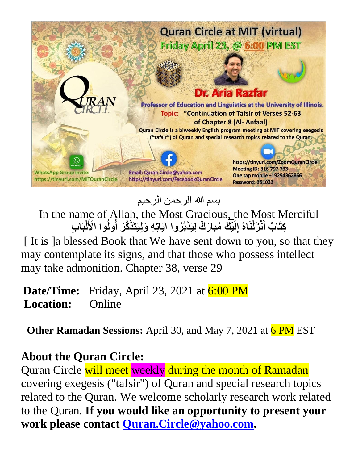

بسم الله الرحمن الرحیم

In the name of Allah, the Most Gracious, the Most Merciful كِتَابٌ أَنْزَلْنَاهُ إِلَيْكَ مُبَارَكٌ لِيَدَّبَّرُوا آيَاتِهِ وَلِيَتَذَكَّرَ أُولُوا الْأَلْبَابِ **ُ ُ**

[ It is ]a blessed Book that We have sent down to you, so that they may contemplate its signs, and that those who possess intellect may take admonition. Chapter 38, verse 29

**Date/Time:** Friday, April 23, 2021 at 6:00 PM **Location:** Online

**Other Ramadan Sessions:** April 30, and May 7, 2021 at 6 PM EST

## **About the Quran Circle:**

Quran Circle will meet weekly during the month of Ramadan covering exegesis ("tafsir") of Quran and special research topics related to the Quran. We welcome scholarly research work related to the Quran. **If you would like an opportunity to present your work please contact [Quran.Circle@yahoo.com.](mailto:Quran.Circle@yahoo.com)**